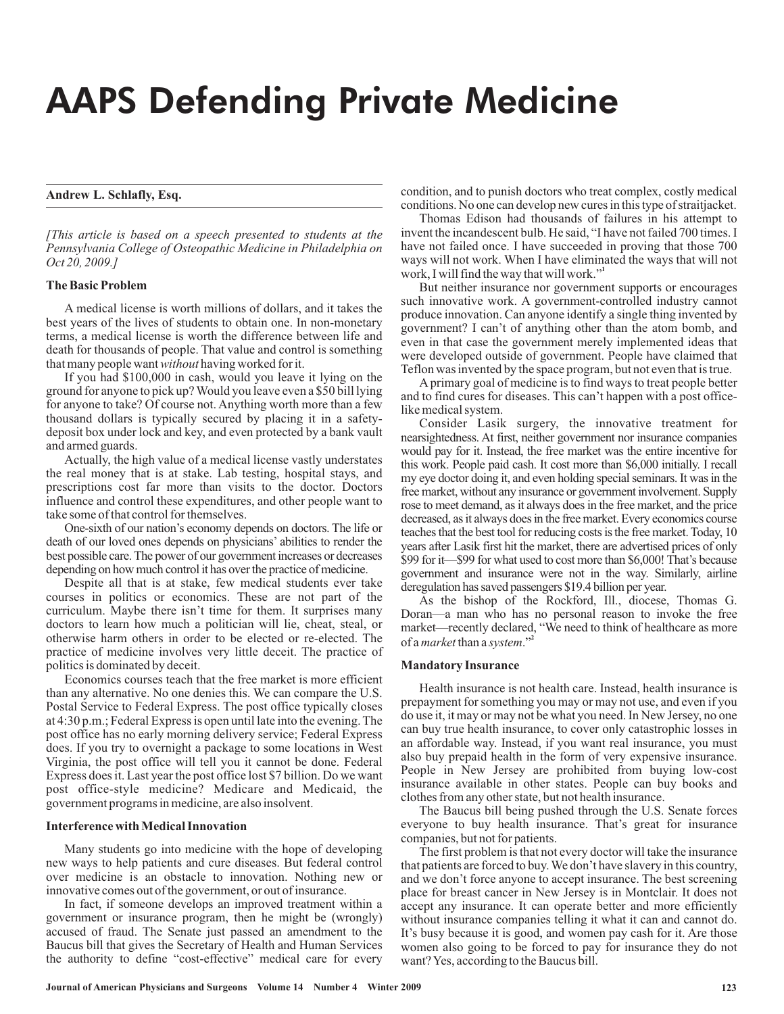# AAPS Defending Private Medicine

## **Andrew L. Schlafly, Esq.**

*[This article is based on a speech presented to students at the Pennsylvania College of Osteopathic Medicine in Philadelphia on Oct 20, 2009.]*

#### **The Basic Problem**

that many people want without having worked for it. A medical license is worth millions of dollars, and it takes the best years of the lives of students to obtain one. In non-monetary terms, a medical license is worth the difference between life and death for thousands of people. That value and control is something

If you had \$100,000 in cash, would you leave it lying on the ground for anyone to pick up? Would you leave even a \$50 bill lying for anyone to take? Of course not. Anything worth more than a few thousand dollars is typically secured by placing it in a safetydeposit box under lock and key, and even protected by a bank vault and armed guards.

Actually, the high value of a medical license vastly understates the real money that is at stake. Lab testing, hospital stays, and prescriptions cost far more than visits to the doctor. Doctors influence and control these expenditures, and other people want to take some of that control for themselves.

One-sixth of our nation's economy depends on doctors. The life or death of our loved ones depends on physicians' abilities to render the best possible care. The power of our government increases or decreases depending on how much control it has over the practice of medicine.

Despite all that is at stake, few medical students ever take courses in politics or economics. These are not part of the curriculum. Maybe there isn't time for them. It surprises many doctors to learn how much a politician will lie, cheat, steal, or otherwise harm others in order to be elected or re-elected. The practice of medicine involves very little deceit. The practice of politics is dominated by deceit.

Economics courses teach that the free market is more efficient than any alternative. No one denies this. We can compare the U.S. Postal Service to Federal Express. The post office typically closes at 4:30 p.m.; Federal Express is open until late into the evening. The post office has no early morning delivery service; Federal Express does. If you try to overnight a package to some locations in West Virginia, the post office will tell you it cannot be done. Federal Express does it. Last year the post office lost \$7 billion. Do we want post office-style medicine? Medicare and Medicaid, the government programs in medicine, are also insolvent.

#### **Interference with Medical Innovation**

Many students go into medicine with the hope of developing new ways to help patients and cure diseases. But federal control over medicine is an obstacle to innovation. Nothing new or innovative comes out of the government, or out of insurance.

In fact, if someone develops an improved treatment within a government or insurance program, then he might be (wrongly) accused of fraud. The Senate just passed an amendment to the Baucus bill that gives the Secretary of Health and Human Services the authority to define "cost-effective" medical care for every condition, and to punish doctors who treat complex, costly medical conditions. No one can develop new cures in this type of straitjacket.

Thomas Edison had thousands of failures in his attempt to invent the incandescent bulb. He said, "I have not failed 700 times. I have not failed once. I have succeeded in proving that those 700 ways will not work. When I have eliminated the ways that will not work, I will find the way that will work." **1**

But neither insurance nor government supports or encourages such innovative work. A government-controlled industry cannot produce innovation. Can anyone identify a single thing invented by government? I can't of anything other than the atom bomb, and even in that case the government merely implemented ideas that were developed outside of government. People have claimed that Teflon was invented by the space program, but not even that is true.

A primary goal of medicine is to find ways to treat people better and to find cures for diseases. This can't happen with a post officelike medical system.

Consider Lasik surgery, the innovative treatment for nearsightedness. At first, neither government nor insurance companies would pay for it. Instead, the free market was the entire incentive for this work. People paid cash. It cost more than \$6,000 initially. I recall my eye doctor doing it, and even holding special seminars. It was in the free market, without any insurance or government involvement. Supply rose to meet demand, as it always does in the free market, and the price decreased, as it always does in the free market. Every economics course teaches that the best tool for reducing costs is the free market. Today, 10 years after Lasik first hit the market, there are advertised prices of only \$99 for it—\$99 for what used to cost more than \$6,000! That's because government and insurance were not in the way. Similarly, airline deregulation has saved passengers \$19.4 billion per year.

As the bishop of the Rockford, Ill., diocese, Thomas G. Doran—a man who has no personal reason to invoke the free market—recently declared, "We need to think of healthcare as more of a *market* than a *system*."<sup>2</sup>

#### **Mandatory Insurance**

Health insurance is not health care. Instead, health insurance is prepayment for something you may or may not use, and even if you do use it, it may or may not be what you need. In New Jersey, no one can buy true health insurance, to cover only catastrophic losses in an affordable way. Instead, if you want real insurance, you must also buy prepaid health in the form of very expensive insurance. People in New Jersey are prohibited from buying low-cost insurance available in other states. People can buy books and clothes from any other state, but not health insurance.

The Baucus bill being pushed through the U.S. Senate forces everyone to buy health insurance. That's great for insurance companies, but not for patients.

The first problem is that not every doctor will take the insurance that patients are forced to buy. We don't have slavery in this country, and we don't force anyone to accept insurance. The best screening place for breast cancer in New Jersey is in Montclair. It does not accept any insurance. It can operate better and more efficiently without insurance companies telling it what it can and cannot do. It's busy because it is good, and women pay cash for it. Are those women also going to be forced to pay for insurance they do not want?Yes, according to the Baucus bill.